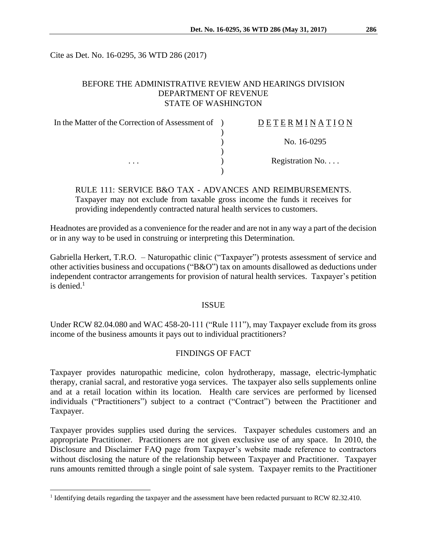Cite as Det. No. 16-0295, 36 WTD 286 (2017)

# BEFORE THE ADMINISTRATIVE REVIEW AND HEARINGS DIVISION DEPARTMENT OF REVENUE STATE OF WASHINGTON

| In the Matter of the Correction of Assessment of ) | DETERMINATION             |
|----------------------------------------------------|---------------------------|
|                                                    |                           |
|                                                    | No. 16-0295               |
|                                                    |                           |
| $\cdots$                                           | Registration No. $\ldots$ |
|                                                    |                           |

RULE 111: SERVICE B&O TAX - ADVANCES AND REIMBURSEMENTS. Taxpayer may not exclude from taxable gross income the funds it receives for providing independently contracted natural health services to customers.

Headnotes are provided as a convenience for the reader and are not in any way a part of the decision or in any way to be used in construing or interpreting this Determination.

Gabriella Herkert, T.R.O. – Naturopathic clinic ("Taxpayer") protests assessment of service and other activities business and occupations ("B&O") tax on amounts disallowed as deductions under independent contractor arrangements for provision of natural health services. Taxpayer's petition is denied $<sup>1</sup>$ </sup>

### ISSUE

Under RCW 82.04.080 and WAC 458-20-111 ("Rule 111"), may Taxpayer exclude from its gross income of the business amounts it pays out to individual practitioners?

# FINDINGS OF FACT

Taxpayer provides naturopathic medicine, colon hydrotherapy, massage, electric-lymphatic therapy, cranial sacral, and restorative yoga services. The taxpayer also sells supplements online and at a retail location within its location. Health care services are performed by licensed individuals ("Practitioners") subject to a contract ("Contract") between the Practitioner and Taxpayer.

Taxpayer provides supplies used during the services. Taxpayer schedules customers and an appropriate Practitioner. Practitioners are not given exclusive use of any space. In 2010, the Disclosure and Disclaimer FAQ page from Taxpayer's website made reference to contractors without disclosing the nature of the relationship between Taxpayer and Practitioner. Taxpayer runs amounts remitted through a single point of sale system. Taxpayer remits to the Practitioner

 $\overline{a}$ 

<sup>&</sup>lt;sup>1</sup> Identifying details regarding the taxpayer and the assessment have been redacted pursuant to RCW 82.32.410.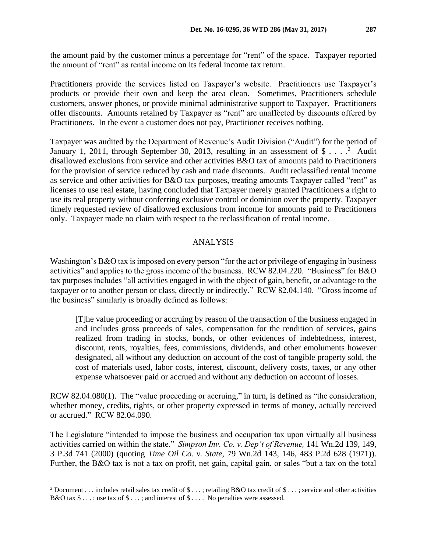the amount paid by the customer minus a percentage for "rent" of the space. Taxpayer reported the amount of "rent" as rental income on its federal income tax return.

Practitioners provide the services listed on Taxpayer's website. Practitioners use Taxpayer's products or provide their own and keep the area clean. Sometimes, Practitioners schedule customers, answer phones, or provide minimal administrative support to Taxpayer. Practitioners offer discounts. Amounts retained by Taxpayer as "rent" are unaffected by discounts offered by Practitioners. In the event a customer does not pay, Practitioner receives nothing.

Taxpayer was audited by the Department of Revenue's Audit Division ("Audit") for the period of January 1, 2011, through September 30, 2013, resulting in an assessment of  $\$\ldots$ .<sup>2</sup> Audit disallowed exclusions from service and other activities B&O tax of amounts paid to Practitioners for the provision of service reduced by cash and trade discounts. Audit reclassified rental income as service and other activities for B&O tax purposes, treating amounts Taxpayer called "rent" as licenses to use real estate, having concluded that Taxpayer merely granted Practitioners a right to use its real property without conferring exclusive control or dominion over the property. Taxpayer timely requested review of disallowed exclusions from income for amounts paid to Practitioners only. Taxpayer made no claim with respect to the reclassification of rental income.

#### ANALYSIS

Washington's B&O tax is imposed on every person "for the act or privilege of engaging in business activities" and applies to the gross income of the business. RCW 82.04.220. "Business" for B&O tax purposes includes "all activities engaged in with the object of gain, benefit, or advantage to the taxpayer or to another person or class, directly or indirectly." RCW 82.04.140. "Gross income of the business" similarly is broadly defined as follows:

[T]he value proceeding or accruing by reason of the transaction of the business engaged in and includes gross proceeds of sales, compensation for the rendition of services, gains realized from trading in stocks, bonds, or other evidences of indebtedness, interest, discount, rents, royalties, fees, commissions, dividends, and other emoluments however designated, all without any deduction on account of the cost of tangible property sold, the cost of materials used, labor costs, interest, discount, delivery costs, taxes, or any other expense whatsoever paid or accrued and without any deduction on account of losses.

RCW 82.04.080(1). The "value proceeding or accruing," in turn, is defined as "the consideration, whether money, credits, rights, or other property expressed in terms of money, actually received or accrued." RCW 82.04.090.

The Legislature "intended to impose the business and occupation tax upon virtually all business activities carried on within the state." *Simpson Inv. Co. v. Dep't of Revenue,* 141 Wn.2d 139, 149, 3 P.3d 741 (2000) (quoting *Time Oil Co. v. State*, 79 Wn.2d 143, 146, 483 P.2d 628 (1971)). Further, the B&O tax is not a tax on profit, net gain, capital gain, or sales "but a tax on the total

 $\overline{a}$ 

<sup>&</sup>lt;sup>2</sup> Document . . . includes retail sales tax credit of \$ . . . ; retailing B&O tax credit of \$ . . . ; service and other activities B&O tax  $\$\dots$ ; use tax of  $\$\dots$ ; and interest of  $\$\dots$ . No penalties were assessed.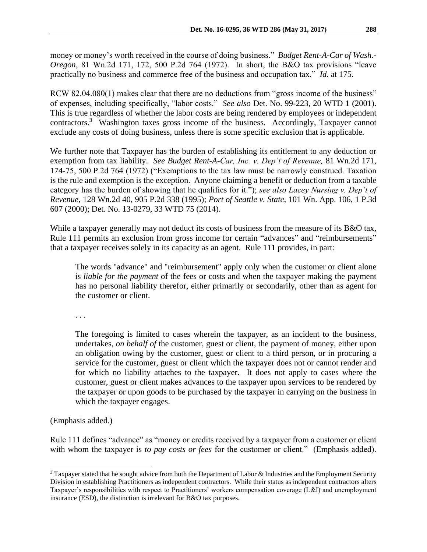money or money's worth received in the course of doing business." *Budget Rent-A-Car of Wash.- Oregon*, 81 Wn.2d 171, 172, 500 P.2d 764 (1972). In short, the B&O tax provisions "leave practically no business and commerce free of the business and occupation tax." *Id.* at 175.

RCW 82.04.080(1) makes clear that there are no deductions from "gross income of the business" of expenses, including specifically, "labor costs." *See also* Det. No. 99-223, 20 WTD 1 (2001). This is true regardless of whether the labor costs are being rendered by employees or independent contractors.<sup>3</sup> Washington taxes gross income of the business. Accordingly, Taxpayer cannot exclude any costs of doing business, unless there is some specific exclusion that is applicable.

We further note that Taxpayer has the burden of establishing its entitlement to any deduction or exemption from tax liability. *See Budget Rent-A-Car, Inc. v. Dep't of Revenue,* 81 Wn.2d 171, 174-75, 500 P.2d 764 (1972) ("Exemptions to the tax law must be narrowly construed. Taxation is the rule and exemption is the exception. Anyone claiming a benefit or deduction from a taxable category has the burden of showing that he qualifies for it."); *see also Lacey Nursing v. Dep't of Revenue,* 128 Wn.2d 40, 905 P.2d 338 (1995); *Port of Seattle v. State,* 101 Wn. App. 106, 1 P.3d 607 (2000); Det. No. 13-0279, 33 WTD 75 (2014).

While a taxpayer generally may not deduct its costs of business from the measure of its B&O tax, Rule 111 permits an exclusion from gross income for certain "advances" and "reimbursements" that a taxpayer receives solely in its capacity as an agent. Rule 111 provides, in part:

The words "advance" and "reimbursement" apply only when the customer or client alone is *liable for the payment* of the fees or costs and when the taxpayer making the payment has no personal liability therefor, either primarily or secondarily, other than as agent for the customer or client.

. . .

The foregoing is limited to cases wherein the taxpayer, as an incident to the business, undertakes, *on behalf of* the customer, guest or client, the payment of money, either upon an obligation owing by the customer, guest or client to a third person, or in procuring a service for the customer, guest or client which the taxpayer does not or cannot render and for which no liability attaches to the taxpayer. It does not apply to cases where the customer, guest or client makes advances to the taxpayer upon services to be rendered by the taxpayer or upon goods to be purchased by the taxpayer in carrying on the business in which the taxpayer engages.

(Emphasis added.)

 $\overline{a}$ 

Rule 111 defines "advance" as "money or credits received by a taxpayer from a customer or client with whom the taxpayer is *to pay costs or fees* for the customer or client." (Emphasis added).

<sup>&</sup>lt;sup>3</sup> Taxpayer stated that he sought advice from both the Department of Labor & Industries and the Employment Security Division in establishing Practitioners as independent contractors. While their status as independent contractors alters Taxpayer's responsibilities with respect to Practitioners' workers compensation coverage (L&I) and unemployment insurance (ESD), the distinction is irrelevant for B&O tax purposes.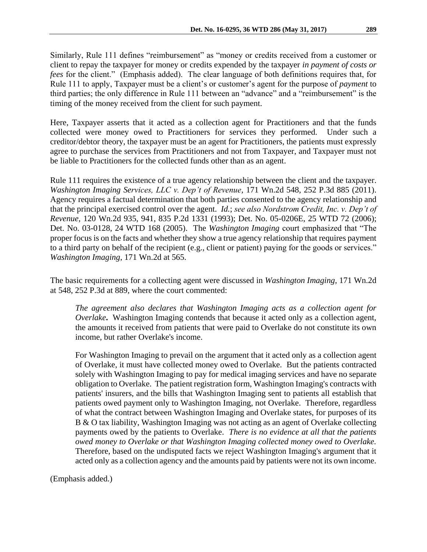Similarly, Rule 111 defines "reimbursement" as "money or credits received from a customer or client to repay the taxpayer for money or credits expended by the taxpayer *in payment of costs or fees* for the client." (Emphasis added). The clear language of both definitions requires that, for Rule 111 to apply, Taxpayer must be a client's or customer's agent for the purpose of *payment* to third parties; the only difference in Rule 111 between an "advance" and a "reimbursement" is the timing of the money received from the client for such payment.

Here, Taxpayer asserts that it acted as a collection agent for Practitioners and that the funds collected were money owed to Practitioners for services they performed. Under such a creditor/debtor theory, the taxpayer must be an agent for Practitioners, the patients must expressly agree to purchase the services from Practitioners and not from Taxpayer, and Taxpayer must not be liable to Practitioners for the collected funds other than as an agent.

Rule 111 requires the existence of a true agency relationship between the client and the taxpayer. *Washington Imaging Services, LLC v. Dep't of Revenue,* 171 Wn.2d 548, 252 P.3d 885 (2011). Agency requires a factual determination that both parties consented to the agency relationship and that the principal exercised control over the agent. *Id.*; *see also Nordstrom Credit, Inc. v. Dep't of Revenue,* 120 Wn.2d 935, 941, 835 P.2d 1331 (1993); Det. No. 05-0206E, 25 WTD 72 (2006); Det. No. 03-0128, 24 WTD 168 (2005). The *Washington Imaging* court emphasized that "The proper focus is on the facts and whether they show a true agency relationship that requires payment to a third party on behalf of the recipient (e.g., client or patient) paying for the goods or services." *Washington Imaging*, 171 Wn.2d at 565.

The basic requirements for a collecting agent were discussed in *Washington Imaging*, 171 Wn.2d at 548, 252 P.3d at 889, where the court commented:

*The agreement also declares that Washington Imaging acts as a collection agent for Overlake***.** Washington Imaging contends that because it acted only as a collection agent, the amounts it received from patients that were paid to Overlake do not constitute its own income, but rather Overlake's income.

For Washington Imaging to prevail on the argument that it acted only as a collection agent of Overlake, it must have collected money owed to Overlake. But the patients contracted solely with Washington Imaging to pay for medical imaging services and have no separate obligation to Overlake. The patient registration form, Washington Imaging's contracts with patients' insurers, and the bills that Washington Imaging sent to patients all establish that patients owed payment only to Washington Imaging, not Overlake. Therefore, regardless of what the contract between Washington Imaging and Overlake states, for purposes of its B & O tax liability, Washington Imaging was not acting as an agent of Overlake collecting payments owed by the patients to Overlake. *There is no evidence at all that the patients owed money to Overlake or that Washington Imaging collected money owed to Overlake.* Therefore, based on the undisputed facts we reject Washington Imaging's argument that it acted only as a collection agency and the amounts paid by patients were not its own income.

(Emphasis added.)